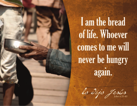I am the bread of life. Whoever comes to me will never be hungry again.

lo dijo Jesús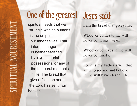## One of the greatest Jesus said:

spiritual needs that we struggle with as humans is the emptiness of our inner selves. That internal hunger that is neither satisfied by love, material possessions, or any of the temporal moments in life. The bread that gives life is the one the Lord has sent from heaven.

I am the bread that gives life.

Whoever comes to me will never be hungry again.

Whoever believes in me will never be thirsty.

For it is my Father's will that all who see me and believe in me will have eternal life.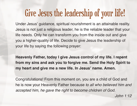## Give Jesus the leadership of your life!

Under Jesus' guidance, spiritual nourishment is an attainable reality. Jesus is not just a religious leader, he is the reliable leader that your life needs. Only he can transform you from the inside out and give you a higher-quality of life. Decide to give Jesus the leadership of your life by saying the following prayer:

**Heavenly Father, today I give Jesus control of my life. I repent from my sins and ask you to forgive me. Send the Holy Spirit to my heart and give me a new life. In Jesus' name. Amen.**

Congratulations! From this moment on, you are a child of God and he is now your Heavenly Father because to all who believed him and accepted him, he gave the right to become children of God.

John 1:12